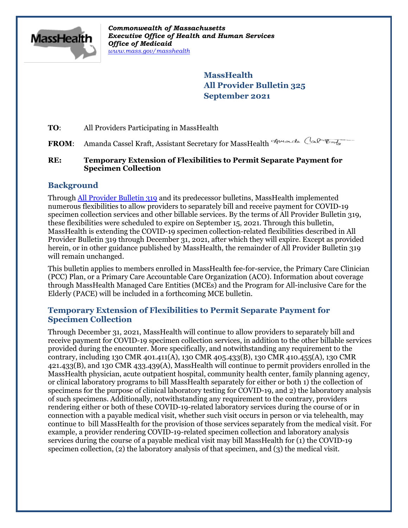

*Commonwealth of Massachusetts Executive Office of Health and Human Services Office of Medicaid [www.mass.gov/masshealth](http://www.mass.gov/masshealth)*

> **MassHealth All Provider Bulletin 325 September 2021**

**TO:** All Providers Participating in MassHealth

FROM: Amanda Cassel Kraft, Assistant Secretary for MassHealth Amander Cal

### **RE: Temporary Extension of Flexibilities to Permit Separate Payment for Specimen Collection**

## **Background**

Through [All Provider Bulletin 319](https://www.mass.gov/lists/all-provider-bulletins) and its predecessor bulletins, MassHealth implemented numerous flexibilities to allow providers to separately bill and receive payment for COVID-19 specimen collection services and other billable services. By the terms of All Provider Bulletin 319, these flexibilities were scheduled to expire on September 15, 2021. Through this bulletin, MassHealth is extending the COVID-19 specimen collection-related flexibilities described in All Provider Bulletin 319 through December 31, 2021, after which they will expire. Except as provided herein, or in other guidance published by MassHealth, the remainder of All Provider Bulletin 319 will remain unchanged.

This bulletin applies to members enrolled in MassHealth fee-for-service, the Primary Care Clinician (PCC) Plan, or a Primary Care Accountable Care Organization (ACO). Information about coverage through MassHealth Managed Care Entities (MCEs) and the Program for All-inclusive Care for the Elderly (PACE) will be included in a forthcoming MCE bulletin.

## **Temporary Extension of Flexibilities to Permit Separate Payment for Specimen Collection**

Through December 31, 2021, MassHealth will continue to allow providers to separately bill and receive payment for COVID-19 specimen collection services, in addition to the other billable services provided during the encounter. More specifically, and notwithstanding any requirement to the contrary, including 130 CMR 401.411(A), 130 CMR 405.433(B), 130 CMR 410.455(A), 130 CMR 421.433(B), and 130 CMR 433.439(A), MassHealth will continue to permit providers enrolled in the MassHealth physician, acute outpatient hospital, community health center, family planning agency, or clinical laboratory programs to bill MassHealth separately for either or both 1) the collection of specimens for the purpose of clinical laboratory testing for COVID-19, and 2) the laboratory analysis of such specimens. Additionally, notwithstanding any requirement to the contrary, providers rendering either or both of these COVID-19-related laboratory services during the course of or in connection with a payable medical visit, whether such visit occurs in person or via telehealth, may continue to bill MassHealth for the provision of those services separately from the medical visit. For example, a provider rendering COVID-19-related specimen collection and laboratory analysis services during the course of a payable medical visit may bill MassHealth for (1) the COVID-19 specimen collection, (2) the laboratory analysis of that specimen, and (3) the medical visit.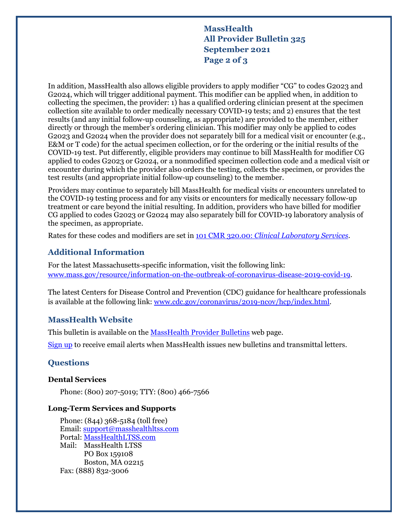# **MassHealth All Provider Bulletin 325 September 2021 Page 2 of 3**

In addition, MassHealth also allows eligible providers to apply modifier "CG" to codes G2023 and G2024, which will trigger additional payment. This modifier can be applied when, in addition to collecting the specimen, the provider: 1) has a qualified ordering clinician present at the specimen collection site available to order medically necessary COVID-19 tests; and 2) ensures that the test results (and any initial follow-up counseling, as appropriate) are provided to the member, either directly or through the member's ordering clinician. This modifier may only be applied to codes G2023 and G2024 when the provider does not separately bill for a medical visit or encounter (e.g., E&M or T code) for the actual specimen collection, or for the ordering or the initial results of the COVID-19 test. Put differently, eligible providers may continue to bill MassHealth for modifier CG applied to codes G2023 or G2024, or a nonmodified specimen collection code and a medical visit or encounter during which the provider also orders the testing, collects the specimen, or provides the test results (and appropriate initial follow-up counseling) to the member.

Providers may continue to separately bill MassHealth for medical visits or encounters unrelated to the COVID-19 testing process and for any visits or encounters for medically necessary follow-up treatment or care beyond the initial resulting. In addition, providers who have billed for modifier CG applied to codes G2023 or G2024 may also separately bill for COVID-19 laboratory analysis of the specimen, as appropriate.

Rates for these codes and modifiers are set in [101 CMR 320.00:](https://www.mass.gov/regulations/101-CMR-32000-clinical-laboratory-services) *Clinical Laboratory Services*.

## **Additional Information**

For the latest Massachusetts-specific information, visit the following link: [www.mass.gov/resource/information-on-the-outbreak-of-coronavirus-disease-2019-covid-19.](C:\Users\Brett Blank\Downloads\www.mass.gov\resource\information-on-the-outbreak-of-coronavirus-disease-2019-covid-19)

The latest Centers for Disease Control and Prevention (CDC) guidance for healthcare professionals is available at the following link: [www.cdc.gov/coronavirus/2019-ncov/hcp/index.html.](C:\Users\Brett Blank\Downloads\www.cdc.gov\coronavirus\2019-ncov\hcp\index.html)

#### **MassHealth Website**

This bulletin is available on the [MassHealth Provider Bulletins](http://www.mass.gov/masshealth-provider-bulletins) web page.

[Sign up](https://www.mass.gov/forms/email-notifications-for-masshealth-provider-bulletins-and-transmittal-letters) to receive email alerts when MassHealth issues new bulletins and transmittal letters.

### **Questions**

#### **Dental Services**

Phone: (800) 207-5019; TTY: (800) 466-7566

#### **Long-Term Services and Supports**

Phone: (844) 368-5184 (toll free) Email: [support@masshealthltss.com](mailto:support@masshealthltss.com) Portal: [MassHealthLTSS.com](https://www.masshealthltss.com/s/?language=en_US) Mail: MassHealth LTSS PO Box 159108 Boston, MA 02215 Fax: (888) 832-3006